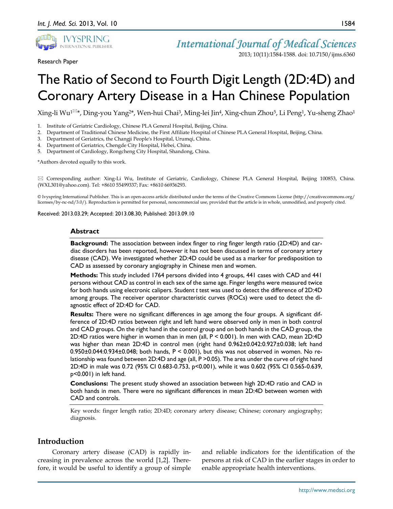

Research Paper

2013; 10(11):1584-1588. doi: 10.7150/ijms.6360

# The Ratio of Second to Fourth Digit Length (2D:4D) and Coronary Artery Disease in a Han Chinese Population

 $Xing$ -li Wu<sup>1 $\boxtimes$ \*, Ding-you Yang<sup>2\*</sup>, Wen-hui Chai<sup>3</sup>, Ming-lei Jin<sup>4</sup>, Xing-chun Zhou<sup>5</sup>, Li Peng<sup>1</sup>, Yu-sheng Zhao<sup>1</sup></sup>

- 1. Institute of Geriatric Cardiology, Chinese PLA General Hospital, Beijing, China.
- 2. Department of Traditional Chinese Medicine, the First Affiliate Hospital of Chinese PLA General Hospital, Beijing, China.
- 3. Department of Geriatrics, the Changji People's Hospital, Urumqi, China.
- 4. Department of Geriatrics, Chengde City Hospital, Hebei, China.
- 5. Department of Cardiology, Rongcheng City Hospital, Shandong, China.

\*Authors devoted equally to this work.

 Corresponding author: Xing-Li Wu, Institute of Geriatric, Cardiology, Chinese PLA General Hospital, Beijing 100853, China. (WXL301@yahoo.com). Tel: +8610 55499337; Fax: +8610 66936293.

© Ivyspring International Publisher. This is an open-access article distributed under the terms of the Creative Commons License (http://creativecommons.org/ licenses/by-nc-nd/3.0/). Reproduction is permitted for personal, noncommercial use, provided that the article is in whole, unmodified, and properly cited.

Received: 2013.03.29; Accepted: 2013.08.30; Published: 2013.09.10

#### **Abstract**

**Background:** The association between index finger to ring finger length ratio (2D:4D) and cardiac disorders has been reported, however it has not been discussed in terms of coronary artery disease (CAD). We investigated whether 2D:4D could be used as a marker for predisposition to CAD as assessed by coronary angiography in Chinese men and women.

**Methods:** This study included 1764 persons divided into 4 groups, 441 cases with CAD and 441 persons without CAD as control in each sex of the same age. Finger lengths were measured twice for both hands using electronic calipers. Student *t* test was used to detect the difference of 2D:4D among groups. The receiver operator characteristic curves (ROCs) were used to detect the diagnostic effect of 2D:4D for CAD.

**Results:** There were no significant differences in age among the four groups. A significant difference of 2D:4D ratios between right and left hand were observed only in men in both control and CAD groups. On the right hand in the control group and on both hands in the CAD group, the 2D:4D ratios were higher in women than in men (all, P < 0.001). In men with CAD, mean 2D:4D was higher than mean 2D:4D in control men (right hand 0.962±0.042:0.927±0.038; left hand  $0.950\pm0.044:0.934\pm0.048$ ; both hands,  $P < 0.001$ ), but this was not observed in women. No relationship was found between 2D:4D and age (all, P >0.05). The area under the curve of right hand 2D:4D in male was 0.72 (95% CI 0.683-0.753, p<0.001), while it was 0.602 (95% CI 0.565-0.639, p<0.001) in left hand.

**Conclusions:** The present study showed an association between high 2D:4D ratio and CAD in both hands in men. There were no significant differences in mean 2D:4D between women with CAD and controls.

Key words: finger length ratio; 2D:4D; coronary artery disease; Chinese; coronary angiography; diagnosis.

## **Introduction**

Coronary artery disease (CAD) is rapidly increasing in prevalence across the world [1,2]. Therefore, it would be useful to identify a group of simple and reliable indicators for the identification of the persons at risk of CAD in the earlier stages in order to enable appropriate health interventions.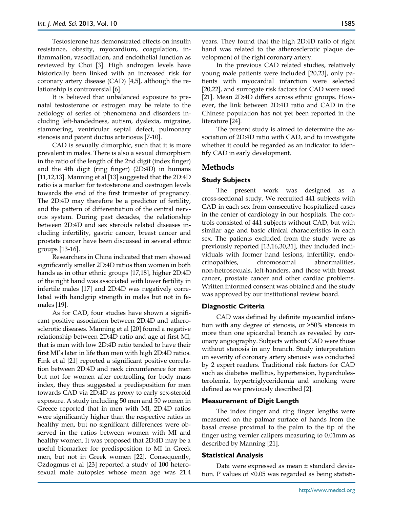Testosterone has demonstrated effects on insulin resistance, obesity, myocardium, coagulation, inflammation, vasodilation, and endothelial function as reviewed by Choi [3]. High androgen levels have historically been linked with an increased risk for coronary artery disease (CAD) [4,5], although the relationship is controversial [6].

It is believed that unbalanced exposure to prenatal testosterone or estrogen may be relate to the aetiology of series of phenomena and disorders including left-handedness, autism, dyslexia, migraine, stammering, ventricular septal defect, pulmonary stenosis and patent ductus arteriosus [7-10].

CAD is sexually dimorphic, such that it is more prevalent in males. There is also a sexual dimorphism in the ratio of the length of the 2nd digit (index finger) and the 4th digit (ring finger) (2D:4D) in humans [11,12,13]. Manning et al [13] suggested that the 2D:4D ratio is a marker for testosterone and oestrogen levels towards the end of the first trimester of pregnancy. The 2D:4D may therefore be a predictor of fertility, and the pattern of differentiation of the central nervous system. During past decades, the relationship between 2D:4D and sex steroids related diseases including infertility, gastric cancer, breast cancer and prostate cancer have been discussed in several ethnic groups [13-16].

Researchers in China indicated that men showed significantly smaller 2D:4D ratios than women in both hands as in other ethnic groups [17,18], higher 2D:4D of the right hand was associated with lower fertility in infertile males [17] and 2D:4D was negatively correlated with handgrip strength in males but not in females [19].

As for CAD, four studies have shown a significant positive association between 2D:4D and atherosclerotic diseases. Manning et al [20] found a negative relationship between 2D:4D ratio and age at first MI, that is men with low 2D:4D ratio tended to have their first MI's later in life than men with high 2D:4D ratios. Fink et al [21] reported a significant positive correlation between 2D:4D and neck circumference for men but not for women after controlling for body mass index, they thus suggested a predisposition for men towards CAD via 2D:4D as proxy to early sex-steroid exposure. A study including 50 men and 50 women in Greece reported that in men with MI, 2D:4D ratios were significantly higher than the respective ratios in healthy men, but no significant differences were observed in the ratios between women with MI and healthy women. It was proposed that 2D:4D may be a useful biomarker for predisposition to MI in Greek men, but not in Greek women [22]. Consequently, Ozdogmus et al [23] reported a study of 100 heterosexual male autopsies whose mean age was 21.4 years. They found that the high 2D:4D ratio of right hand was related to the atherosclerotic plaque development of the right coronary artery.

In the previous CAD related studies, relatively young male patients were included [20,23], only patients with myocardial infarction were selected [20,22], and surrogate risk factors for CAD were used [21]. Mean 2D:4D differs across ethnic groups. However, the link between 2D:4D ratio and CAD in the Chinese population has not yet been reported in the literature [24].

The present study is aimed to determine the association of 2D:4D ratio with CAD, and to investigate whether it could be regarded as an indicator to identify CAD in early development.

# **Methods**

## **Study Subjects**

The present work was designed as a cross-sectional study. We recruited 441 subjects with CAD in each sex from consecutive hospitalized cases in the center of cardiology in our hospitals. The controls consisted of 441 subjects without CAD, but with similar age and basic clinical characteristics in each sex. The patients excluded from the study were as previously reported [13,16,30,31], they included individuals with former hand lesions, infertility, endocrinopathies, chromosomal abnormalities, non-hetrosexuals, left-handers, and those with breast cancer, prostate cancer and other cardiac problems. Written informed consent was obtained and the study was approved by our institutional review board.

## **Diagnostic Criteria**

CAD was defined by definite myocardial infarction with any degree of stenosis, or >50% stenosis in more than one epicardial branch as revealed by coronary angiography. Subjects without CAD were those without stenosis in any branch. Study interpretation on severity of coronary artery stenosis was conducted by 2 expert readers. Traditional risk factors for CAD such as diabetes mellitus, hypertension, hypercholesterolemia, hypertriglyceridemia and smoking were defined as we previously described [2].

## **Measurement of Digit Length**

The index finger and ring finger lengths were measured on the palmar surface of hands from the basal crease proximal to the palm to the tip of the finger using vernier calipers measuring to 0.01mm as described by Manning [21].

## **Statistical Analysis**

Data were expressed as mean ± standard deviation. P values of <0.05 was regarded as being statisti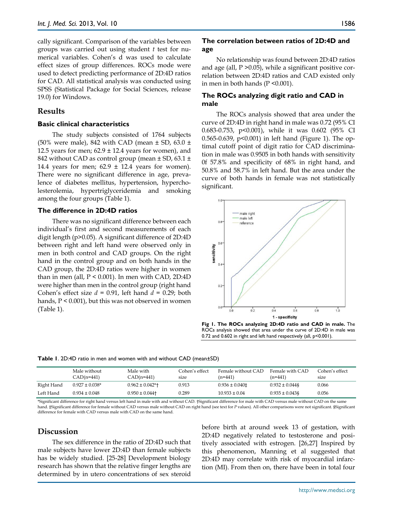cally significant. Comparison of the variables between groups was carried out using student *t* test for numerical variables. Cohen's d was used to calculate effect sizes of group differences. ROCs mode were used to detect predicting performance of 2D:4D ratios for CAD. All statistical analysis was conducted using SPSS (Statistical Package for Social Sciences, release 19.0) for Windows.

#### **Results**

#### **Basic clinical characteristics**

The study subjects consisted of 1764 subjects (50% were male), 842 with CAD (mean  $\pm$  SD, 63.0  $\pm$ 12.5 years for men;  $62.9 \pm 12.4$  years for women), and 842 without CAD as control group (mean  $\pm$  SD, 63.1  $\pm$ 14.4 years for men;  $62.9 \pm 12.4$  years for women). There were no significant difference in age, prevalence of diabetes mellitus, hypertension, hypercholesterolemia, hypertriglyceridemia and smoking among the four groups (Table 1).

#### **The difference in 2D:4D ratios**

There was no significant difference between each individual's first and second measurements of each digit length (p>0.05). A significant difference of 2D:4D between right and left hand were observed only in men in both control and CAD groups. On the right hand in the control group and on both hands in the CAD group, the 2D:4D ratios were higher in women than in men (all,  $P < 0.001$ ). In men with CAD, 2D:4D were higher than men in the control group (right hand Cohen's effect size *d* = 0.91, left hand *d* = 0.29; both hands, P < 0.001), but this was not observed in women (Table 1).

#### **The correlation between ratios of 2D:4D and age**

No relationship was found between 2D:4D ratios and age (all,  $P > 0.05$ ), while a significant positive correlation between 2D:4D ratios and CAD existed only in men in both hands (P <0.001).

## **The ROCs analyzing digit ratio and CAD in male**

The ROCs analysis showed that area under the curve of 2D:4D in right hand in male was 0.72 (95% CI 0.683-0.753, p<0.001), while it was 0.602 (95% CI 0.565-0.639, p<0.001) in left hand (Figure 1). The optimal cutoff point of digit ratio for CAD discrimination in male was 0.9505 in both hands with sensitivity 0f 57.8% and specificity of 68% in right hand, and 50.8% and 58.7% in left hand. But the area under the curve of both hands in female was not statistically significant.



**Fig 1. The ROCs analyzing 2D:4D ratio and CAD in male.** The ROCs analysis showed that area under the curve of 2D:4D in male was 0.72 and 0.602 in right and left hand respectively (all, p<0.001).

**Table 1**. 2D:4D ratio in men and women with and without CAD (mean±SD)

|            | Male without<br>CAD(n=441) | Male with<br>$CAD(n=441)$ | Cohen's effect-<br>size | Female without CAD<br>(n=441) | Female with CAD<br>$(n=441)$ | Cohen's effect-<br>size |
|------------|----------------------------|---------------------------|-------------------------|-------------------------------|------------------------------|-------------------------|
| Right Hand | $0.927 \pm 0.038$ *        | $0.962 \pm 0.042$ *†      | 0.913                   | $0.936 \pm 0.040 \pm 0.040$   | $0.932 \pm 0.044$ §          | 0.066                   |
| Left Hand  | $0.934 \pm 0.048$          | $0.950 \pm 0.044$         | 0.289                   | $10.933 \pm 0.04$             | $0.935 \pm 0.043$ \$         | 0.056                   |

\*Significant difference for right hand versus left hand in male with and without CAD. †Significant difference for male with CAD versus male without CAD on the same hand. #Significant difference for female without CAD versus male without CAD on right hand (see text for *P* values). All other comparisons were not significant. §Significant difference for female with CAD versus male with CAD on the same hand.

# **Discussion**

The sex difference in the ratio of 2D:4D such that male subjects have lower 2D:4D than female subjects has be widely studied. [25-28] Development biology research has shown that the relative finger lengths are determined by in utero concentrations of sex steroid before birth at around week 13 of gestation, with 2D:4D negatively related to testosterone and positively associated with estrogen. [26,27] Inspired by this phenomenon, Manning et al suggested that 2D:4D may correlate with risk of myocardial infarction (MI). From then on, there have been in total four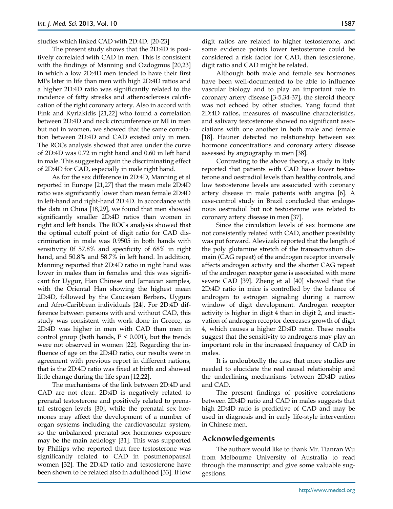studies which linked CAD with 2D:4D. [20-23]

The present study shows that the 2D:4D is positively correlated with CAD in men. This is consistent with the findings of Manning and Ozdogmus [20,23] in which a low 2D:4D men tended to have their first MI's later in life than men with high 2D:4D ratios and a higher 2D:4D ratio was significantly related to the incidence of fatty streaks and atherosclerosis calcification of the right coronary artery. Also in accord with Fink and Kyriakidis [21,22] who found a correlation between 2D:4D and neck circumference or MI in men but not in women, we showed that the same correlation between 2D:4D and CAD existed only in men. The ROCs analysis showed that area under the curve of 2D:4D was 0.72 in right hand and 0.60 in left hand in male. This suggested again the discriminating effect of 2D:4D for CAD, especially in male right hand.

As for the sex difference in 2D:4D, Manning et al reported in Europe [21,27] that the mean male 2D:4D ratio was significantly lower than mean female 2D:4D in left-hand and right-hand 2D:4D. In accordance with the data in China [18,29], we found that men showed significantly smaller 2D:4D ratios than women in right and left hands. The ROCs analysis showed that the optimal cutoff point of digit ratio for CAD discrimination in male was 0.9505 in both hands with sensitivity 0f 57.8% and specificity of 68% in right hand, and 50.8% and 58.7% in left hand. In addition, Manning reported that 2D:4D ratio in right hand was lower in males than in females and this was significant for Uygur, Han Chinese and Jamaican samples, with the Oriental Han showing the highest mean 2D:4D, followed by the Caucasian Berbers, Uygurs and Afro-Caribbean individuals [24]. For 2D:4D difference between persons with and without CAD, this study was consistent with work done in Greece, as 2D:4D was higher in men with CAD than men in control group (both hands,  $P < 0.001$ ), but the trends were not observed in women [22]. Regarding the influence of age on the 2D:4D ratio, our results were in agreement with previous report in different nations, that is the 2D:4D ratio was fixed at birth and showed little change during the life span [12,22].

The mechanisms of the link between 2D:4D and CAD are not clear. 2D:4D is negatively related to prenatal testosterone and positively related to prenatal estrogen levels [30], while the prenatal sex hormones may affect the development of a number of organ systems including the cardiovascular system, so the unbalanced prenatal sex hormones exposure may be the main aetiology [31]. This was supported by Phillips who reported that free testosterone was significantly related to CAD in postmenopausal women [32]. The 2D:4D ratio and testosterone have been shown to be related also in adulthood [33]. If low digit ratios are related to higher testosterone, and some evidence points lower testosterone could be considered a risk factor for CAD, then testosterone, digit ratio and CAD might be related.

Although both male and female sex hormones have been well-documented to be able to influence vascular biology and to play an important role in coronary artery disease [3-5,34-37], the steroid theory was not echoed by other studies. Yang found that 2D:4D ratios, measures of masculine characteristics, and salivary testosterone showed no significant associations with one another in both male and female [18]. Hauner detected no relationship between sex hormone concentrations and coronary artery disease assessed by angiography in men [38].

Contrasting to the above theory, a study in Italy reported that patients with CAD have lower testosterone and oestradiol levels than healthy controls, and low testosterone levels are associated with coronary artery disease in male patients with angina [6]. A case-control study in Brazil concluded that endogenous oestradiol but not testosterone was related to coronary artery disease in men [37].

Since the circulation levels of sex hormone are not consistently related with CAD, another possibility was put forward. Alevizaki reported that the length of the poly glutamine stretch of the transactivation domain (CAG repeat) of the androgen receptor inversely affects androgen activity and the shorter CAG repeat of the androgen receptor gene is associated with more severe CAD [39]. Zheng et al [40] showed that the 2D:4D ratio in mice is controlled by the balance of androgen to estrogen signaling during a narrow window of digit development. Androgen receptor activity is higher in digit 4 than in digit 2, and inactivation of androgen receptor decreases growth of digit 4, which causes a higher 2D:4D ratio. These results suggest that the sensitivity to androgens may play an important role in the increased frequency of CAD in males.

It is undoubtedly the case that more studies are needed to elucidate the real causal relationship and the underlining mechanisms between 2D:4D ratios and CAD.

The present findings of positive correlations between 2D:4D ratio and CAD in males suggests that high 2D:4D ratio is predictive of CAD and may be used in diagnosis and in early life-style intervention in Chinese men.

## **Acknowledgements**

The authors would like to thank Mr. Tianran Wu from Melbourne University of Australia to read through the manuscript and give some valuable suggestions.